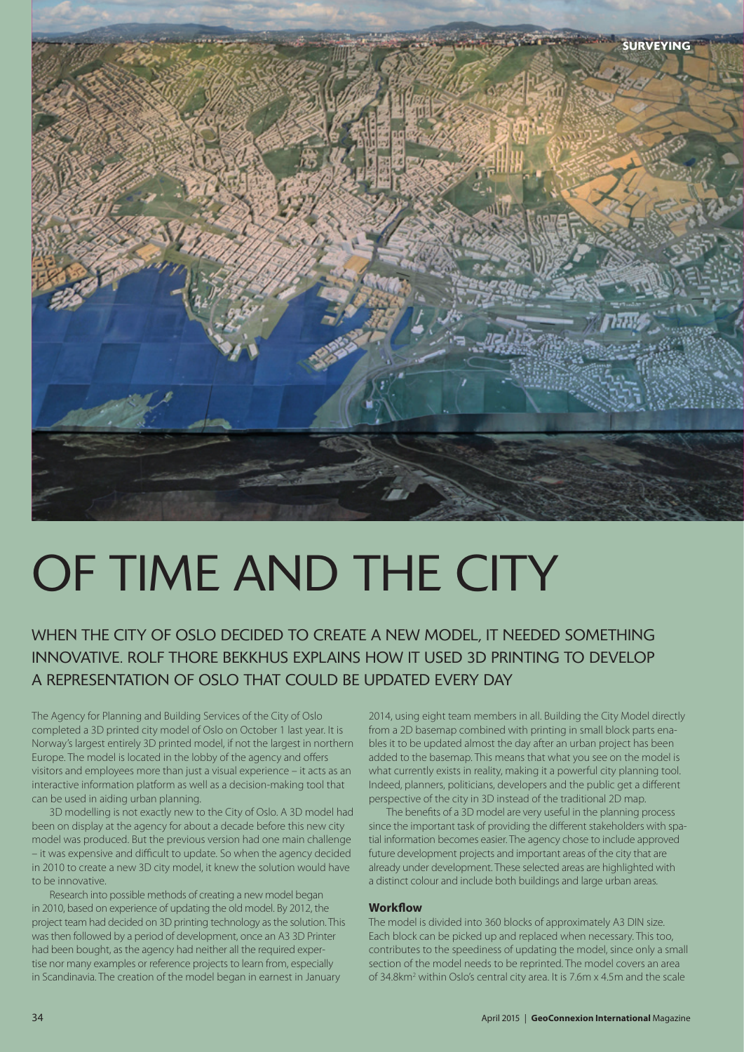

# OF TIME AND THE CITY

## WHEN THE CITY OF OSLO DECIDED TO CREATE A NEW MODEL, IT NEEDED SOMETHING INNOVATIVE. ROLF THORE BEKKHUS EXPLAINS HOW IT USED 3D PRINTING TO DEVELOP A REPRESENTATION OF OSLO THAT COULD BE UPDATED EVERY DAY

The Agency for Planning and Building Services of the City of Oslo completed a 3D printed city model of Oslo on October 1 last year. It is Norway's largest entirely 3D printed model, if not the largest in northern Europe. The model is located in the lobby of the agency and offers visitors and employees more than just a visual experience – it acts as an interactive information platform as well as a decision-making tool that can be used in aiding urban planning.

3D modelling is not exactly new to the City of Oslo. A 3D model had been on display at the agency for about a decade before this new city model was produced. But the previous version had one main challenge – it was expensive and difficult to update. So when the agency decided in 2010 to create a new 3D city model, it knew the solution would have to be innovative.

Research into possible methods of creating a new model began in 2010, based on experience of updating the old model. By 2012, the project team had decided on 3D printing technology as the solution. This was then followed by a period of development, once an A3 3D Printer had been bought, as the agency had neither all the required expertise nor many examples or reference projects to learn from, especially in Scandinavia. The creation of the model began in earnest in January

2014, using eight team members in all. Building the City Model directly from a 2D basemap combined with printing in small block parts enables it to be updated almost the day after an urban project has been added to the basemap. This means that what you see on the model is what currently exists in reality, making it a powerful city planning tool. Indeed, planners, politicians, developers and the public get a different perspective of the city in 3D instead of the traditional 2D map.

The benefits of a 3D model are very useful in the planning process since the important task of providing the different stakeholders with spatial information becomes easier. The agency chose to include approved future development projects and important areas of the city that are already under development. These selected areas are highlighted with a distinct colour and include both buildings and large urban areas.

#### **Workflow**

The model is divided into 360 blocks of approximately A3 DIN size. Each block can be picked up and replaced when necessary. This too, contributes to the speediness of updating the model, since only a small section of the model needs to be reprinted. The model covers an area of 34.8km<sup>2</sup> within Oslo's central city area. It is 7.6m x 4.5m and the scale